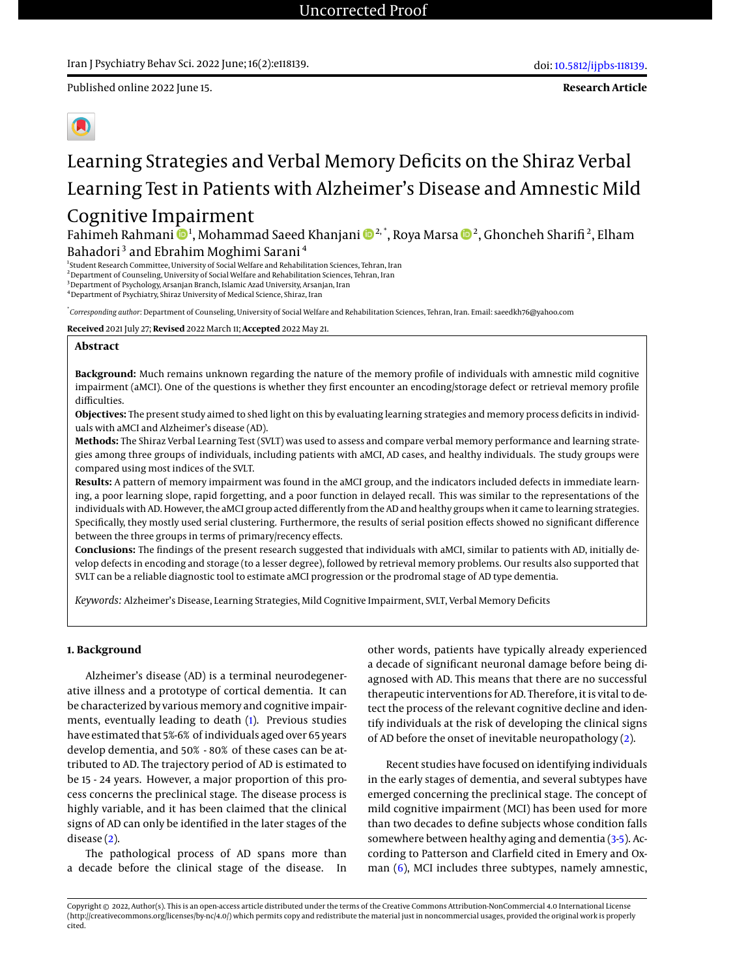Published online 2022 June 15.

**Research Article**



# Learning Strategies and Verbal Memory Deficits on the Shiraz Verbal Learning Test in Patients with Alzheimer's Disease and Amnestic Mild Cognitive Impairment

Fahimeh Rahmani ��!, Mohammad Saeed Khanjani ����.", Roya Marsa ���, Ghoncheh Sharifi<sup>2</sup>, Elham Bahadori<sup>3</sup> and Ebrahim Moghimi Sarani<sup>4</sup>

<sup>1</sup> Student Research Committee, University of Social Welfare and Rehabilitation Sciences, Tehran, Iran

<sup>2</sup> Department of Counseling, University of Social Welfare and Rehabilitation Sciences, Tehran, Iran

<sup>3</sup>Department of Psychology, Arsanjan Branch, Islamic Azad University, Arsanjan, Iran

<sup>4</sup>Department of Psychiatry, Shiraz University of Medical Science, Shiraz, Iran

\* *Corresponding author*: Department of Counseling, University of Social Welfare and Rehabilitation Sciences, Tehran, Iran. Email: saeedkh76@yahoo.com

**Received** 2021 July 27; **Revised** 2022 March 11; **Accepted** 2022 May 21.

## **Abstract**

**Background:** Much remains unknown regarding the nature of the memory profile of individuals with amnestic mild cognitive impairment (aMCI). One of the questions is whether they first encounter an encoding/storage defect or retrieval memory profile difficulties.

**Objectives:** The present study aimed to shed light on this by evaluating learning strategies and memory process deficits in individuals with aMCI and Alzheimer's disease (AD).

**Methods:** The Shiraz Verbal Learning Test (SVLT) was used to assess and compare verbal memory performance and learning strategies among three groups of individuals, including patients with aMCI, AD cases, and healthy individuals. The study groups were compared using most indices of the SVLT.

**Results:** A pattern of memory impairment was found in the aMCI group, and the indicators included defects in immediate learning, a poor learning slope, rapid forgetting, and a poor function in delayed recall. This was similar to the representations of the individuals with AD. However, the aMCI group acted differently from the AD and healthy groups when it came to learning strategies. Specifically, they mostly used serial clustering. Furthermore, the results of serial position effects showed no significant difference between the three groups in terms of primary/recency effects.

**Conclusions:** The findings of the present research suggested that individuals with aMCI, similar to patients with AD, initially develop defects in encoding and storage (to a lesser degree), followed by retrieval memory problems. Our results also supported that SVLT can be a reliable diagnostic tool to estimate aMCI progression or the prodromal stage of AD type dementia.

*Keywords:* Alzheimer's Disease, Learning Strategies, Mild Cognitive Impairment, SVLT, Verbal Memory Deficits

# **1. Background**

Alzheimer's disease (AD) is a terminal neurodegenerative illness and a prototype of cortical dementia. It can be characterized by various memory and cognitive impairments, eventually leading to death [\(1\)](#page-8-0). Previous studies have estimated that 5%-6% of individuals aged over 65 years develop dementia, and 50% - 80% of these cases can be attributed to AD. The trajectory period of AD is estimated to be 15 - 24 years. However, a major proportion of this process concerns the preclinical stage. The disease process is highly variable, and it has been claimed that the clinical signs of AD can only be identified in the later stages of the disease [\(2\)](#page-8-1).

The pathological process of AD spans more than a decade before the clinical stage of the disease. In

other words, patients have typically already experienced a decade of significant neuronal damage before being diagnosed with AD. This means that there are no successful therapeutic interventions for AD. Therefore, it is vital to detect the process of the relevant cognitive decline and identify individuals at the risk of developing the clinical signs of AD before the onset of inevitable neuropathology [\(2\)](#page-8-1).

Recent studies have focused on identifying individuals in the early stages of dementia, and several subtypes have emerged concerning the preclinical stage. The concept of mild cognitive impairment (MCI) has been used for more than two decades to define subjects whose condition falls somewhere between healthy aging and dementia [\(3-](#page-8-2)[5\)](#page-8-3). According to Patterson and Clarfield cited in Emery and Oxman  $(6)$ , MCI includes three subtypes, namely amnestic,

Copyright © 2022, Author(s). This is an open-access article distributed under the terms of the Creative Commons Attribution-NonCommercial 4.0 International License (http://creativecommons.org/licenses/by-nc/4.0/) which permits copy and redistribute the material just in noncommercial usages, provided the original work is properly cited.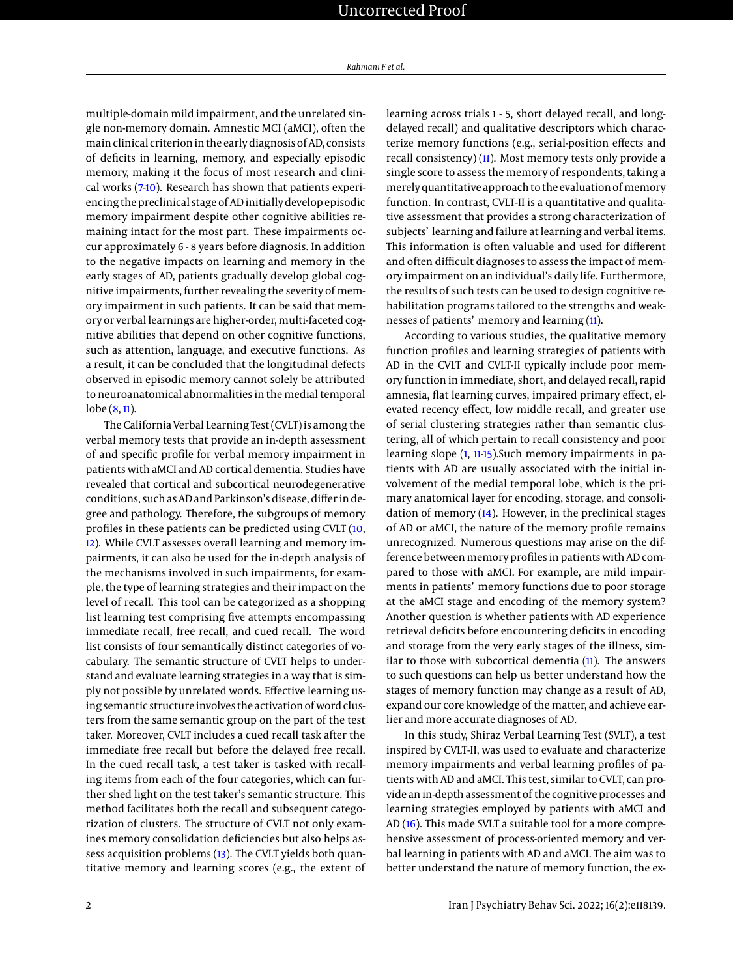multiple-domain mild impairment, and the unrelated single non-memory domain. Amnestic MCI (aMCI), often the main clinical criterion in the early diagnosis of AD, consists of deficits in learning, memory, and especially episodic memory, making it the focus of most research and clinical works [\(7-](#page-8-5)[10\)](#page-8-6). Research has shown that patients experiencing the preclinical stage of AD initially develop episodic memory impairment despite other cognitive abilities remaining intact for the most part. These impairments occur approximately 6 - 8 years before diagnosis. In addition to the negative impacts on learning and memory in the early stages of AD, patients gradually develop global cognitive impairments, further revealing the severity of memory impairment in such patients. It can be said that memory or verbal learnings are higher-order, multi-faceted cognitive abilities that depend on other cognitive functions, such as attention, language, and executive functions. As a result, it can be concluded that the longitudinal defects observed in episodic memory cannot solely be attributed to neuroanatomical abnormalities in the medial temporal lobe [\(8,](#page-8-7) [11\)](#page-8-8).

The California Verbal Learning Test (CVLT) is among the verbal memory tests that provide an in-depth assessment of and specific profile for verbal memory impairment in patients with aMCI and AD cortical dementia. Studies have revealed that cortical and subcortical neurodegenerative conditions, such as AD and Parkinson's disease, differ in degree and pathology. Therefore, the subgroups of memory profiles in these patients can be predicted using CVLT [\(10,](#page-8-6) [12\)](#page-8-9). While CVLT assesses overall learning and memory impairments, it can also be used for the in-depth analysis of the mechanisms involved in such impairments, for example, the type of learning strategies and their impact on the level of recall. This tool can be categorized as a shopping list learning test comprising five attempts encompassing immediate recall, free recall, and cued recall. The word list consists of four semantically distinct categories of vocabulary. The semantic structure of CVLT helps to understand and evaluate learning strategies in a way that is simply not possible by unrelated words. Effective learning using semantic structure involves the activation of word clusters from the same semantic group on the part of the test taker. Moreover, CVLT includes a cued recall task after the immediate free recall but before the delayed free recall. In the cued recall task, a test taker is tasked with recalling items from each of the four categories, which can further shed light on the test taker's semantic structure. This method facilitates both the recall and subsequent categorization of clusters. The structure of CVLT not only examines memory consolidation deficiencies but also helps assess acquisition problems [\(13\)](#page-8-10). The CVLT yields both quantitative memory and learning scores (e.g., the extent of

learning across trials 1 - 5, short delayed recall, and longdelayed recall) and qualitative descriptors which characterize memory functions (e.g., serial-position effects and recall consistency) [\(11\)](#page-8-8). Most memory tests only provide a single score to assess the memory of respondents, taking a merely quantitative approach to the evaluation of memory function. In contrast, CVLT-II is a quantitative and qualitative assessment that provides a strong characterization of subjects' learning and failure at learning and verbal items. This information is often valuable and used for different and often difficult diagnoses to assess the impact of memory impairment on an individual's daily life. Furthermore, the results of such tests can be used to design cognitive rehabilitation programs tailored to the strengths and weaknesses of patients' memory and learning [\(11\)](#page-8-8).

According to various studies, the qualitative memory function profiles and learning strategies of patients with AD in the CVLT and CVLT-II typically include poor memory function in immediate, short, and delayed recall, rapid amnesia, flat learning curves, impaired primary effect, elevated recency effect, low middle recall, and greater use of serial clustering strategies rather than semantic clustering, all of which pertain to recall consistency and poor learning slope [\(1,](#page-8-0) [11](#page-8-8)[-15\)](#page-8-11). Such memory impairments in patients with AD are usually associated with the initial involvement of the medial temporal lobe, which is the primary anatomical layer for encoding, storage, and consolidation of memory [\(14\)](#page-8-12). However, in the preclinical stages of AD or aMCI, the nature of the memory profile remains unrecognized. Numerous questions may arise on the difference between memory profiles in patients with AD compared to those with aMCI. For example, are mild impairments in patients' memory functions due to poor storage at the aMCI stage and encoding of the memory system? Another question is whether patients with AD experience retrieval deficits before encountering deficits in encoding and storage from the very early stages of the illness, similar to those with subcortical dementia [\(11\)](#page-8-8). The answers to such questions can help us better understand how the stages of memory function may change as a result of AD, expand our core knowledge of the matter, and achieve earlier and more accurate diagnoses of AD.

In this study, Shiraz Verbal Learning Test (SVLT), a test inspired by CVLT-II, was used to evaluate and characterize memory impairments and verbal learning profiles of patients with AD and aMCI. This test, similar to CVLT, can provide an in-depth assessment of the cognitive processes and learning strategies employed by patients with aMCI and AD [\(16\)](#page-8-13). This made SVLT a suitable tool for a more comprehensive assessment of process-oriented memory and verbal learning in patients with AD and aMCI. The aim was to better understand the nature of memory function, the ex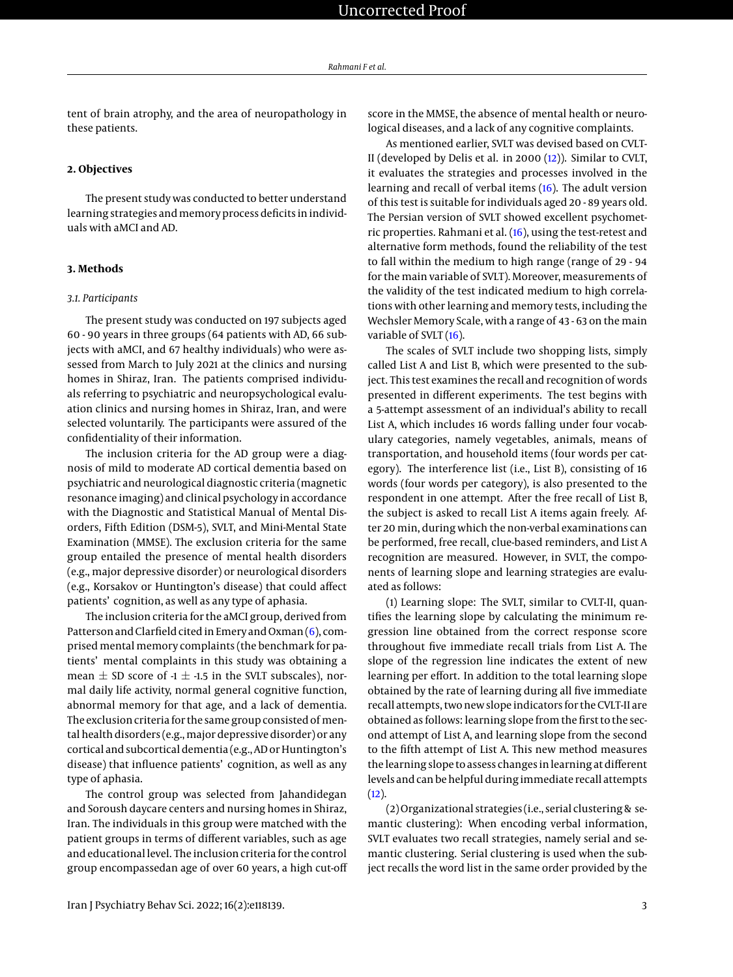tent of brain atrophy, and the area of neuropathology in these patients.

## **2. Objectives**

The present study was conducted to better understand learning strategies and memory process deficits in individuals with aMCI and AD.

# **3. Methods**

#### *3.1. Participants*

The present study was conducted on 197 subjects aged 60 - 90 years in three groups (64 patients with AD, 66 subjects with aMCI, and 67 healthy individuals) who were assessed from March to July 2021 at the clinics and nursing homes in Shiraz, Iran. The patients comprised individuals referring to psychiatric and neuropsychological evaluation clinics and nursing homes in Shiraz, Iran, and were selected voluntarily. The participants were assured of the confidentiality of their information.

The inclusion criteria for the AD group were a diagnosis of mild to moderate AD cortical dementia based on psychiatric and neurological diagnostic criteria (magnetic resonance imaging) and clinical psychology in accordance with the Diagnostic and Statistical Manual of Mental Disorders, Fifth Edition (DSM-5), SVLT, and Mini-Mental State Examination (MMSE). The exclusion criteria for the same group entailed the presence of mental health disorders (e.g., major depressive disorder) or neurological disorders (e.g., Korsakov or Huntington's disease) that could affect patients' cognition, as well as any type of aphasia.

The inclusion criteria for the aMCI group, derived from Patterson and Clarfield cited in Emery and Oxman [\(6\)](#page-8-4), comprised mental memory complaints (the benchmark for patients' mental complaints in this study was obtaining a mean  $\pm$  SD score of -1  $\pm$  -1.5 in the SVLT subscales), normal daily life activity, normal general cognitive function, abnormal memory for that age, and a lack of dementia. The exclusion criteria for the same group consisted of mental health disorders (e.g., major depressive disorder) or any cortical and subcortical dementia (e.g., AD or Huntington's disease) that influence patients' cognition, as well as any type of aphasia.

The control group was selected from Jahandidegan and Soroush daycare centers and nursing homes in Shiraz, Iran. The individuals in this group were matched with the patient groups in terms of different variables, such as age and educational level. The inclusion criteria for the control group encompassedan age of over 60 years, a high cut-off

score in the MMSE, the absence of mental health or neurological diseases, and a lack of any cognitive complaints.

As mentioned earlier, SVLT was devised based on CVLT-II (developed by Delis et al. in 2000 [\(12\)](#page-8-9)). Similar to CVLT, it evaluates the strategies and processes involved in the learning and recall of verbal items [\(16\)](#page-8-13). The adult version of this test is suitable for individuals aged 20 - 89 years old. The Persian version of SVLT showed excellent psychometric properties. Rahmani et al. [\(16\)](#page-8-13), using the test-retest and alternative form methods, found the reliability of the test to fall within the medium to high range (range of 29 - 94 for the main variable of SVLT). Moreover, measurements of the validity of the test indicated medium to high correlations with other learning and memory tests, including the Wechsler Memory Scale, with a range of 43 - 63 on the main variable of SVLT [\(16\)](#page-8-13).

The scales of SVLT include two shopping lists, simply called List A and List B, which were presented to the subject. This test examines the recall and recognition of words presented in different experiments. The test begins with a 5-attempt assessment of an individual's ability to recall List A, which includes 16 words falling under four vocabulary categories, namely vegetables, animals, means of transportation, and household items (four words per category). The interference list (i.e., List B), consisting of 16 words (four words per category), is also presented to the respondent in one attempt. After the free recall of List B, the subject is asked to recall List A items again freely. After 20 min, during which the non-verbal examinations can be performed, free recall, clue-based reminders, and List A recognition are measured. However, in SVLT, the components of learning slope and learning strategies are evaluated as follows:

(1) Learning slope: The SVLT, similar to CVLT-II, quantifies the learning slope by calculating the minimum regression line obtained from the correct response score throughout five immediate recall trials from List A. The slope of the regression line indicates the extent of new learning per effort. In addition to the total learning slope obtained by the rate of learning during all five immediate recall attempts, two new slope indicators for the CVLT-II are obtained as follows: learning slope from the first to the second attempt of List A, and learning slope from the second to the fifth attempt of List A. This new method measures the learning slope to assess changes in learning at different levels and can be helpful during immediate recall attempts  $(12).$  $(12).$ 

(2) Organizational strategies (i.e., serial clustering & semantic clustering): When encoding verbal information, SVLT evaluates two recall strategies, namely serial and semantic clustering. Serial clustering is used when the subject recalls the word list in the same order provided by the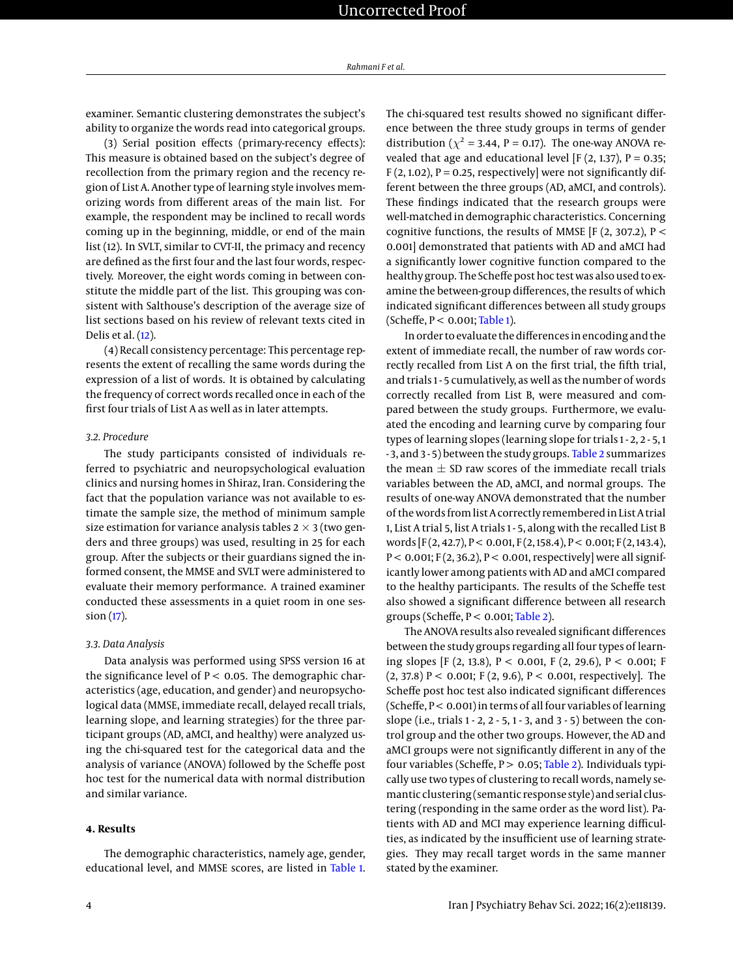examiner. Semantic clustering demonstrates the subject's ability to organize the words read into categorical groups.

(3) Serial position effects (primary-recency effects): This measure is obtained based on the subject's degree of recollection from the primary region and the recency region of List A. Another type of learning style involves memorizing words from different areas of the main list. For example, the respondent may be inclined to recall words coming up in the beginning, middle, or end of the main list (12). In SVLT, similar to CVT-II, the primacy and recency are defined as the first four and the last four words, respectively. Moreover, the eight words coming in between constitute the middle part of the list. This grouping was consistent with Salthouse's description of the average size of list sections based on his review of relevant texts cited in Delis et al. [\(12\)](#page-8-9).

(4) Recall consistency percentage: This percentage represents the extent of recalling the same words during the expression of a list of words. It is obtained by calculating the frequency of correct words recalled once in each of the first four trials of List A as well as in later attempts.

## *3.2. Procedure*

The study participants consisted of individuals referred to psychiatric and neuropsychological evaluation clinics and nursing homes in Shiraz, Iran. Considering the fact that the population variance was not available to estimate the sample size, the method of minimum sample size estimation for variance analysis tables  $2 \times 3$  (two genders and three groups) was used, resulting in 25 for each group. After the subjects or their guardians signed the informed consent, the MMSE and SVLT were administered to evaluate their memory performance. A trained examiner conducted these assessments in a quiet room in one session [\(17\)](#page-8-14).

### *3.3. Data Analysis*

Data analysis was performed using SPSS version 16 at the significance level of  $P < 0.05$ . The demographic characteristics (age, education, and gender) and neuropsychological data (MMSE, immediate recall, delayed recall trials, learning slope, and learning strategies) for the three participant groups (AD, aMCI, and healthy) were analyzed using the chi-squared test for the categorical data and the analysis of variance (ANOVA) followed by the Scheffe post hoc test for the numerical data with normal distribution and similar variance.

## **4. Results**

The demographic characteristics, namely age, gender, educational level, and MMSE scores, are listed in [Table 1.](#page-4-0) The chi-squared test results showed no significant difference between the three study groups in terms of gender distribution ( $\chi^2$  = 3.44, P = 0.17). The one-way ANOVA revealed that age and educational level [F  $(2, 1.37)$ , P = 0.35;  $F(2, 1.02)$ , P = 0.25, respectively] were not significantly different between the three groups (AD, aMCI, and controls). These findings indicated that the research groups were well-matched in demographic characteristics. Concerning cognitive functions, the results of MMSE [F (2, 307.2),  $P <$ 0.001] demonstrated that patients with AD and aMCI had a significantly lower cognitive function compared to the healthy group. The Scheffe post hoc test was also used to examine the between-group differences, the results of which indicated significant differences between all study groups  $(Scheffe, P < 0.001; Table 1).$  $(Scheffe, P < 0.001; Table 1).$  $(Scheffe, P < 0.001; Table 1).$ 

In order to evaluate the differences in encoding and the extent of immediate recall, the number of raw words correctly recalled from List A on the first trial, the fifth trial, and trials 1 - 5 cumulatively, as well as the number of words correctly recalled from List B, were measured and compared between the study groups. Furthermore, we evaluated the encoding and learning curve by comparing four types of learning slopes (learning slope for trials 1 - 2, 2 - 5, 1 - 3, and 3 - 5) between the study groups. [Table 2](#page-4-1) summarizes the mean  $\pm$  SD raw scores of the immediate recall trials variables between the AD, aMCI, and normal groups. The results of one-way ANOVA demonstrated that the number of the words from list A correctly remembered in List A trial 1, List A trial 5, list A trials 1 - 5, along with the recalled List B words  $[F(2, 42.7), P < 0.001, F(2, 158.4), P < 0.001; F(2, 143.4),$  $P < 0.001$ ; F(2, 36.2), P < 0.001, respectively] were all significantly lower among patients with AD and aMCI compared to the healthy participants. The results of the Scheffe test also showed a significant difference between all research groups (Scheffe,  $P < 0.001$ ; [Table 2\)](#page-4-1).

The ANOVA results also revealed significant differences between the study groups regarding all four types of learning slopes [F (2, 13.8), P < 0.001, F (2, 29.6), P < 0.001; F  $(2, 37.8)$  P < 0.001; F  $(2, 9.6)$ , P < 0.001, respectively]. The Scheffe post hoc test also indicated significant differences (Scheffe, P < 0.001) in terms of all four variables of learning slope (i.e., trials 1 - 2, 2 - 5, 1 - 3, and 3 - 5) between the control group and the other two groups. However, the AD and aMCI groups were not significantly different in any of the four variables (Scheffe,  $P > 0.05$ ; [Table 2\)](#page-4-1). Individuals typically use two types of clustering to recall words, namely semantic clustering (semantic response style) and serial clustering (responding in the same order as the word list). Patients with AD and MCI may experience learning difficulties, as indicated by the insufficient use of learning strategies. They may recall target words in the same manner stated by the examiner.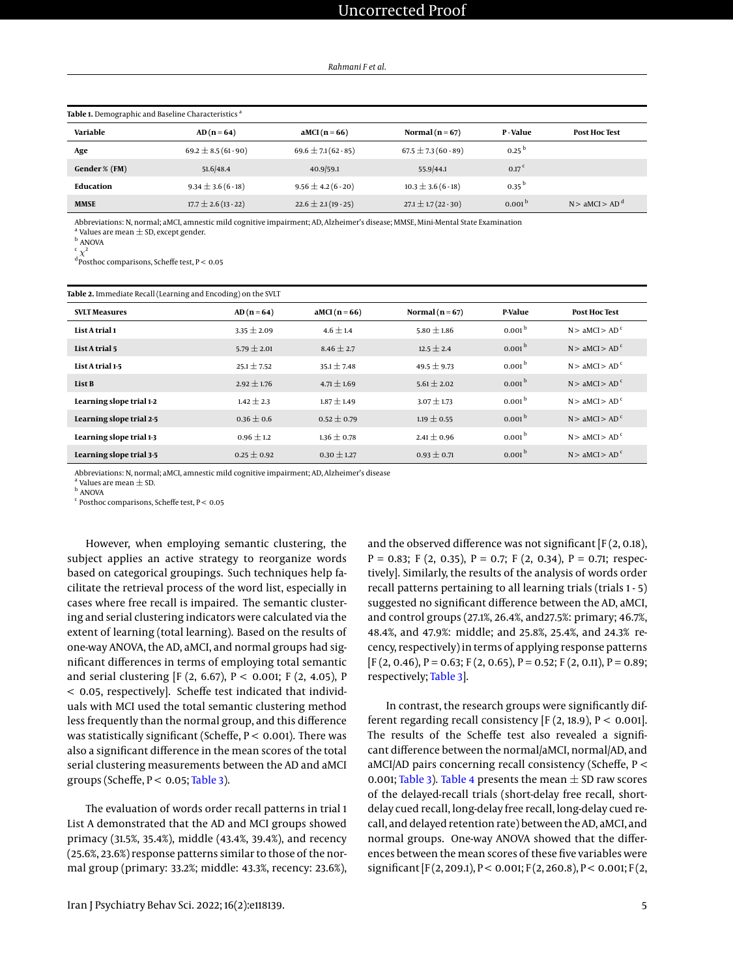*Rahmani F et al.*

<span id="page-4-0"></span>

| Table 1. Demographic and Baseline Characteristics <sup>a</sup> |                         |                         |                         |                    |                            |  |
|----------------------------------------------------------------|-------------------------|-------------------------|-------------------------|--------------------|----------------------------|--|
| Variable                                                       | $AD(n=64)$              | $AMCI(n=66)$            | Normal ( $n = 67$ )     | P-Value            | <b>Post Hoc Test</b>       |  |
| Age                                                            | $69.2 \pm 8.5(61-90)$   | $69.6 \pm 7.1(62 - 85)$ | $67.5 \pm 7.3(60-89)$   | 0.25 <sup>b</sup>  |                            |  |
| Gender % (FM)                                                  | 51.6/48.4               | 40.9/59.1               | 55.9/44.1               | 0.17 <sup>c</sup>  |                            |  |
| Education                                                      | $9.34 \pm 3.6(6-18)$    | $9.56 \pm 4.2(6-20)$    | $10.3 \pm 3.6$ (6 - 18) | $0.35^{b}$         |                            |  |
| <b>MMSE</b>                                                    | $17.7 \pm 2.6(13 - 22)$ | $22.6 \pm 2.1(19-25)$   | $27.1 \pm 1.7(22 - 30)$ | 0.001 <sup>b</sup> | N > aMCI > AD <sup>d</sup> |  |

Abbreviations: N, normal; aMCI, amnestic mild cognitive impairment; AD, Alzheimer's disease; MMSE, Mini-Mental State Examination

 $^{\text{a}}$  Values are mean  $\pm$  SD, except gender.

<sup>b</sup> ANOVA  $\mathfrak{c}$   $\chi^2$ 

<sup>d</sup> Posthoc comparisons, Scheffe test, P < 0.05

<span id="page-4-1"></span>

| Table 2. Immediate Recall (Learning and Encoding) on the SVLT |                 |                 |                     |                    |                            |
|---------------------------------------------------------------|-----------------|-----------------|---------------------|--------------------|----------------------------|
| <b>SVLT Measures</b>                                          | $AD(n=64)$      | aMCI $(n=66)$   | Normal ( $n = 67$ ) | P-Value            | <b>Post Hoc Test</b>       |
| List A trial 1                                                | $3.35 \pm 2.09$ | $4.6 + 1.4$     | $5.80 + 1.86$       | 0.001 <sup>b</sup> | N > aMCI > AD <sup>c</sup> |
| List A trial 5                                                | $5.79 \pm 2.01$ | $8.46 \pm 2.7$  | $12.5 \pm 2.4$      | 0.001 <sup>b</sup> | N > aMCI > AD <sup>c</sup> |
| List A trial 1-5                                              | $25.1 \pm 7.52$ | $35.1 + 7.48$   | $49.5 \pm 9.73$     | 0.001 <sup>b</sup> | N > aMCI > AD <sup>c</sup> |
| List B                                                        | $2.92 \pm 1.76$ | $4.71 \pm 1.69$ | $5.61 \pm 2.02$     | 0.001 <sup>b</sup> | N > aMCI > AD <sup>c</sup> |
| Learning slope trial 1-2                                      | $1.42 \pm 2.3$  | $1.87 \pm 1.49$ | $3.07 \pm 1.73$     | 0.001 <sup>b</sup> | N > aMCI > AD <sup>c</sup> |
| Learning slope trial 2-5                                      | $0.36 \pm 0.6$  | $0.52 \pm 0.79$ | $1.19 \pm 0.55$     | 0.001 <sup>b</sup> | N > aMCI > AD <sup>c</sup> |
| Learning slope trial 1-3                                      | $0.96 \pm 1.2$  | $1.36 \pm 0.78$ | $2.41 \pm 0.96$     | 0.001 <sup>b</sup> | N > aMCI > AD <sup>c</sup> |
| Learning slope trial 3-5                                      | $0.25 \pm 0.92$ | $0.30 \pm 1.27$ | $0.93 \pm 0.71$     | 0.001 <sup>b</sup> | N > aMCI > AD <sup>c</sup> |

Abbreviations: N, normal; aMCI, amnestic mild cognitive impairment; AD, Alzheimer's disease

 $^{\rm a}$  Values are mean  $\pm$  SD.

<sup>b</sup> ANOVA  $c$  Posthoc comparisons, Scheffe test,  $P < 0.05$ 

However, when employing semantic clustering, the subject applies an active strategy to reorganize words based on categorical groupings. Such techniques help facilitate the retrieval process of the word list, especially in cases where free recall is impaired. The semantic clustering and serial clustering indicators were calculated via the extent of learning (total learning). Based on the results of one-way ANOVA, the AD, aMCI, and normal groups had significant differences in terms of employing total semantic and serial clustering [F (2, 6.67),  $P < 0.001$ ; F (2, 4.05), P < 0.05, respectively]. Scheffe test indicated that individuals with MCI used the total semantic clustering method less frequently than the normal group, and this difference was statistically significant (Scheffe,  $P < 0.001$ ). There was also a significant difference in the mean scores of the total serial clustering measurements between the AD and aMCI groups (Scheffe,  $P < 0.05$ ; [Table 3\)](#page-5-0).

The evaluation of words order recall patterns in trial 1 List A demonstrated that the AD and MCI groups showed primacy (31.5%, 35.4%), middle (43.4%, 39.4%), and recency (25.6%, 23.6%) response patterns similar to those of the normal group (primary: 33.2%; middle: 43.3%, recency: 23.6%),

and the observed difference was not significant [F (2, 0.18),  $P = 0.83$ ; F (2, 0.35), P = 0.7; F (2, 0.34), P = 0.71; respectively]. Similarly, the results of the analysis of words order recall patterns pertaining to all learning trials (trials 1 - 5) suggested no significant difference between the AD, aMCI, and control groups (27.1%, 26.4%, and27.5%: primary; 46.7%, 48.4%, and 47.9%: middle; and 25.8%, 25.4%, and 24.3% recency, respectively) in terms of applying response patterns  $[F (2, 0.46), P = 0.63; F (2, 0.65), P = 0.52; F (2, 0.11), P = 0.89;$ respectively; [Table 3\]](#page-5-0).

In contrast, the research groups were significantly different regarding recall consistency [F  $(2, 18.9)$ , P < 0.001]. The results of the Scheffe test also revealed a significant difference between the normal/aMCI, normal/AD, and aMCI/AD pairs concerning recall consistency (Scheffe, P < 0.001; [Table 3\)](#page-5-0). [Table 4](#page-6-0) presents the mean  $\pm$  SD raw scores of the delayed-recall trials (short-delay free recall, shortdelay cued recall, long-delay free recall, long-delay cued recall, and delayed retention rate) between the AD, aMCI, and normal groups. One-way ANOVA showed that the differences between the mean scores of these five variables were significant [F(2, 209.1), P < 0.001; F(2, 260.8), P < 0.001; F(2,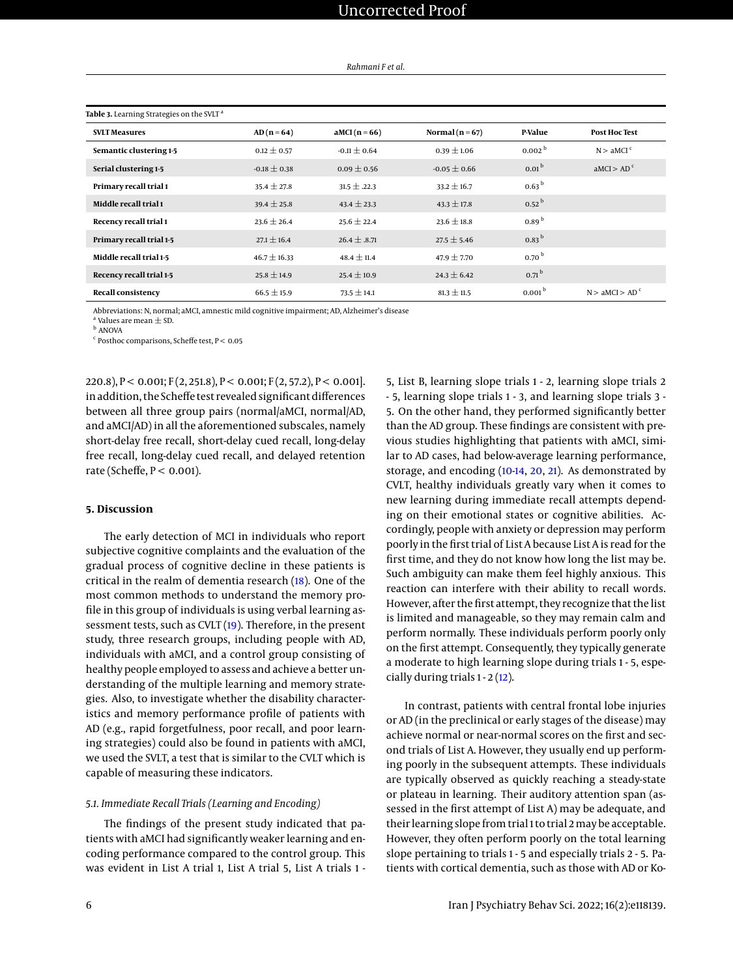| Rahmani F et al. |  |
|------------------|--|
|------------------|--|

<span id="page-5-0"></span>

| Table 3. Learning Strategies on the SVLT <sup>a</sup> |                  |                  |                     |                    |                            |
|-------------------------------------------------------|------------------|------------------|---------------------|--------------------|----------------------------|
| <b>SVLT Measures</b>                                  | $AD(n=64)$       | aMCI $(n=66)$    | Normal ( $n = 67$ ) | <b>P-Value</b>     | <b>Post Hoc Test</b>       |
| Semantic clustering 1-5                               | $0.12 \pm 0.57$  | $-0.11 \pm 0.64$ | $0.39 \pm 1.06$     | 0.002 <sup>b</sup> | N > a MCI <sup>c</sup>     |
| Serial clustering 1-5                                 | $-0.18 \pm 0.38$ | $0.09 \pm 0.56$  | $-0.05 \pm 0.66$    | 0.01 <sup>b</sup>  | AMCI > AD <sup>c</sup>     |
| Primary recall trial 1                                | $35.4 \pm 27.8$  | $31.5 \pm .22.3$ | $33.2 \pm 16.7$     | 0.63 <sup>b</sup>  |                            |
| Middle recall trial 1                                 | $39.4 \pm 25.8$  | $43.4 \pm 23.3$  | $43.3 \pm 17.8$     | $0.52^{b}$         |                            |
| Recency recall trial 1                                | $23.6 \pm 26.4$  | $25.6 \pm 22.4$  | $23.6 \pm 18.8$     | 0.89 <sup>b</sup>  |                            |
| Primary recall trial 1-5                              | $27.1 \pm 16.4$  | $26.4 \pm .8.71$ | $27.5 \pm 5.46$     | $0.83^{b}$         |                            |
| Middle recall trial 1-5                               | $46.7 \pm 16.33$ | $48.4 \pm 11.4$  | $47.9 \pm 7.70$     | 0.70 <sup>b</sup>  |                            |
| Recency recall trial 1-5                              | $25.8 \pm 14.9$  | $25.4 \pm 10.9$  | $24.3 \pm 6.42$     | 0.71 <sup>b</sup>  |                            |
| <b>Recall consistency</b>                             | $66.5 \pm 15.9$  | $73.5 \pm 14.1$  | $81.3 \pm 11.5$     | 0.001 <sup>b</sup> | N > aMCI > AD <sup>c</sup> |

Abbreviations: N, normal; aMCI, amnestic mild cognitive impairment; AD, Alzheimer's disease

a Values are mean  $+$  SD.

<sup>b</sup> ANOVA

<sup>c</sup> Posthoc comparisons, Scheffe test, P < 0.05

220.8), P < 0.001; F (2, 251.8), P < 0.001; F (2, 57.2), P < 0.001]. in addition, the Scheffe test revealed significant differences between all three group pairs (normal/aMCI, normal/AD, and aMCI/AD) in all the aforementioned subscales, namely short-delay free recall, short-delay cued recall, long-delay free recall, long-delay cued recall, and delayed retention rate (Scheffe, P < 0.001).

#### **5. Discussion**

The early detection of MCI in individuals who report subjective cognitive complaints and the evaluation of the gradual process of cognitive decline in these patients is critical in the realm of dementia research [\(18\)](#page-8-15). One of the most common methods to understand the memory profile in this group of individuals is using verbal learning assessment tests, such as CVLT [\(19\)](#page-8-16). Therefore, in the present study, three research groups, including people with AD, individuals with aMCI, and a control group consisting of healthy people employed to assess and achieve a better understanding of the multiple learning and memory strategies. Also, to investigate whether the disability characteristics and memory performance profile of patients with AD (e.g., rapid forgetfulness, poor recall, and poor learning strategies) could also be found in patients with aMCI, we used the SVLT, a test that is similar to the CVLT which is capable of measuring these indicators.

### *5.1. Immediate Recall Trials (Learning and Encoding)*

The findings of the present study indicated that patients with aMCI had significantly weaker learning and encoding performance compared to the control group. This was evident in List A trial 1, List A trial 5, List A trials 1 -

5, List B, learning slope trials 1 - 2, learning slope trials 2 - 5, learning slope trials 1 - 3, and learning slope trials 3 - 5. On the other hand, they performed significantly better than the AD group. These findings are consistent with previous studies highlighting that patients with aMCI, similar to AD cases, had below-average learning performance, storage, and encoding [\(10-](#page-8-6)[14,](#page-8-12) [20,](#page-8-17) [21\)](#page-8-18). As demonstrated by CVLT, healthy individuals greatly vary when it comes to new learning during immediate recall attempts depending on their emotional states or cognitive abilities. Accordingly, people with anxiety or depression may perform poorly in the first trial of List A because List A is read for the first time, and they do not know how long the list may be. Such ambiguity can make them feel highly anxious. This reaction can interfere with their ability to recall words. However, after the first attempt, they recognize that the list is limited and manageable, so they may remain calm and perform normally. These individuals perform poorly only on the first attempt. Consequently, they typically generate a moderate to high learning slope during trials 1 - 5, especially during trials 1 - 2 [\(12\)](#page-8-9).

In contrast, patients with central frontal lobe injuries or AD (in the preclinical or early stages of the disease) may achieve normal or near-normal scores on the first and second trials of List A. However, they usually end up performing poorly in the subsequent attempts. These individuals are typically observed as quickly reaching a steady-state or plateau in learning. Their auditory attention span (assessed in the first attempt of List A) may be adequate, and their learning slope from trial 1 to trial 2may be acceptable. However, they often perform poorly on the total learning slope pertaining to trials 1 - 5 and especially trials 2 - 5. Patients with cortical dementia, such as those with AD or Ko-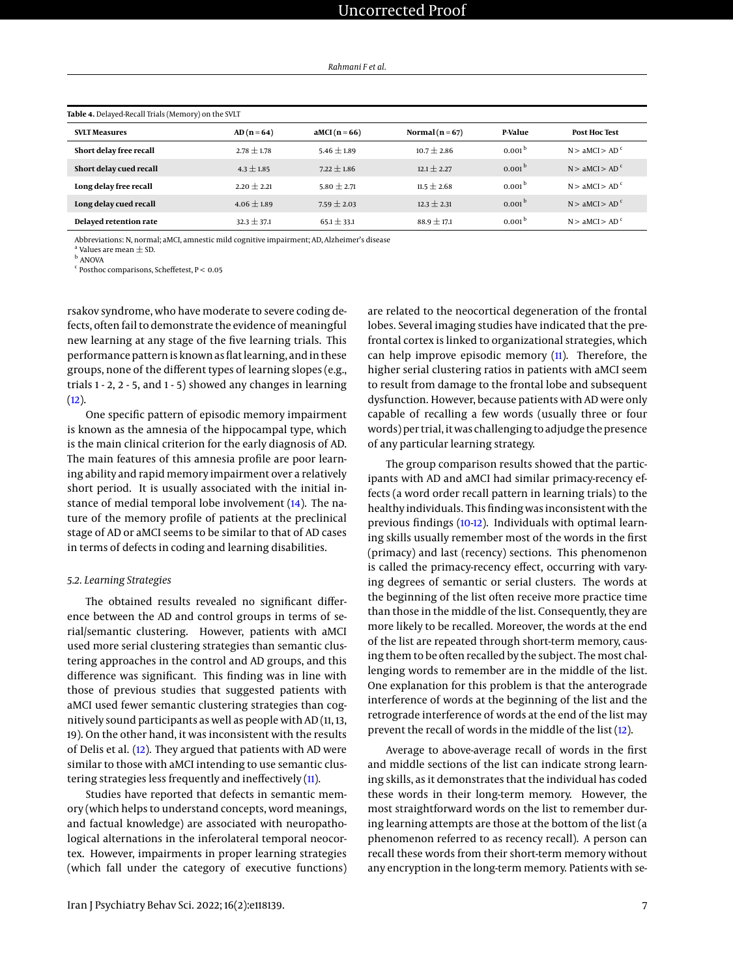*Rahmani F et al.*

<span id="page-6-0"></span>

| Table 4. Delayed-Recall Trials (Memory) on the SVLT |                 |                 |                     |                    |                            |
|-----------------------------------------------------|-----------------|-----------------|---------------------|--------------------|----------------------------|
| <b>SVLT Measures</b>                                | $AD(n=64)$      | $aMCI(n=66)$    | Normal ( $n = 67$ ) | P-Value            | <b>Post Hoc Test</b>       |
| Short delay free recall                             | $2.78 \pm 1.78$ | $5.46 + 1.89$   | $10.7 + 2.86$       | 0.001 <sup>b</sup> | N > aMCI > AD <sup>c</sup> |
| Short delay cued recall                             | $4.3 \pm 1.85$  | $7.22 \pm 1.86$ | $12.1 + 2.27$       | 0.001 <sup>b</sup> | N > aMCI > AD <sup>c</sup> |
| Long delay free recall                              | $2.20 \pm 2.21$ | 5.80 $\pm$ 2.71 | $11.5 + 2.68$       | 0.001 <sup>b</sup> | N > aMCI > AD <sup>c</sup> |
| Long delay cued recall                              | $4.06 \pm 1.89$ | $7.59 \pm 2.03$ | $12.3 \pm 2.31$     | 0.001 <sup>b</sup> | N > aMCI > AD <sup>c</sup> |
| Delayed retention rate                              | $32.3 \pm 37.1$ | $65.1 \pm 33.1$ | $88.9 \pm 17.1$     | 0.001 <sup>b</sup> | N > aMCI > AD <sup>c</sup> |

Abbreviations: N, normal; aMCI, amnestic mild cognitive impairment; AD, Alzheimer's disease

 $^{\text{a}}$  Values are mean  $\pm$  SD.

<sup>b</sup> ANOVA

<sup>c</sup> Posthoc comparisons, Scheffetest, P < 0.05

rsakov syndrome, who have moderate to severe coding defects, often fail to demonstrate the evidence of meaningful new learning at any stage of the five learning trials. This performance pattern is known as flat learning, and in these groups, none of the different types of learning slopes (e.g., trials 1 - 2, 2 - 5, and 1 - 5) showed any changes in learning  $(12)$ .

One specific pattern of episodic memory impairment is known as the amnesia of the hippocampal type, which is the main clinical criterion for the early diagnosis of AD. The main features of this amnesia profile are poor learning ability and rapid memory impairment over a relatively short period. It is usually associated with the initial instance of medial temporal lobe involvement [\(14\)](#page-8-12). The nature of the memory profile of patients at the preclinical stage of AD or aMCI seems to be similar to that of AD cases in terms of defects in coding and learning disabilities.

#### *5.2. Learning Strategies*

The obtained results revealed no significant difference between the AD and control groups in terms of serial/semantic clustering. However, patients with aMCI used more serial clustering strategies than semantic clustering approaches in the control and AD groups, and this difference was significant. This finding was in line with those of previous studies that suggested patients with aMCI used fewer semantic clustering strategies than cognitively sound participants as well as people with AD (11, 13, 19). On the other hand, it was inconsistent with the results of Delis et al. [\(12\)](#page-8-9). They argued that patients with AD were similar to those with aMCI intending to use semantic clustering strategies less frequently and ineffectively [\(11\)](#page-8-8).

Studies have reported that defects in semantic memory (which helps to understand concepts, word meanings, and factual knowledge) are associated with neuropathological alternations in the inferolateral temporal neocortex. However, impairments in proper learning strategies (which fall under the category of executive functions)

are related to the neocortical degeneration of the frontal lobes. Several imaging studies have indicated that the prefrontal cortex is linked to organizational strategies, which can help improve episodic memory  $(11)$ . Therefore, the higher serial clustering ratios in patients with aMCI seem to result from damage to the frontal lobe and subsequent dysfunction. However, because patients with AD were only capable of recalling a few words (usually three or four words) per trial, it was challenging to adjudge the presence of any particular learning strategy.

The group comparison results showed that the participants with AD and aMCI had similar primacy-recency effects (a word order recall pattern in learning trials) to the healthy individuals. This finding was inconsistent with the previous findings [\(10-](#page-8-6)[12\)](#page-8-9). Individuals with optimal learning skills usually remember most of the words in the first (primacy) and last (recency) sections. This phenomenon is called the primacy-recency effect, occurring with varying degrees of semantic or serial clusters. The words at the beginning of the list often receive more practice time than those in the middle of the list. Consequently, they are more likely to be recalled. Moreover, the words at the end of the list are repeated through short-term memory, causing them to be often recalled by the subject. The most challenging words to remember are in the middle of the list. One explanation for this problem is that the anterograde interference of words at the beginning of the list and the retrograde interference of words at the end of the list may prevent the recall of words in the middle of the list [\(12\)](#page-8-9).

Average to above-average recall of words in the first and middle sections of the list can indicate strong learning skills, as it demonstrates that the individual has coded these words in their long-term memory. However, the most straightforward words on the list to remember during learning attempts are those at the bottom of the list (a phenomenon referred to as recency recall). A person can recall these words from their short-term memory without any encryption in the long-term memory. Patients with se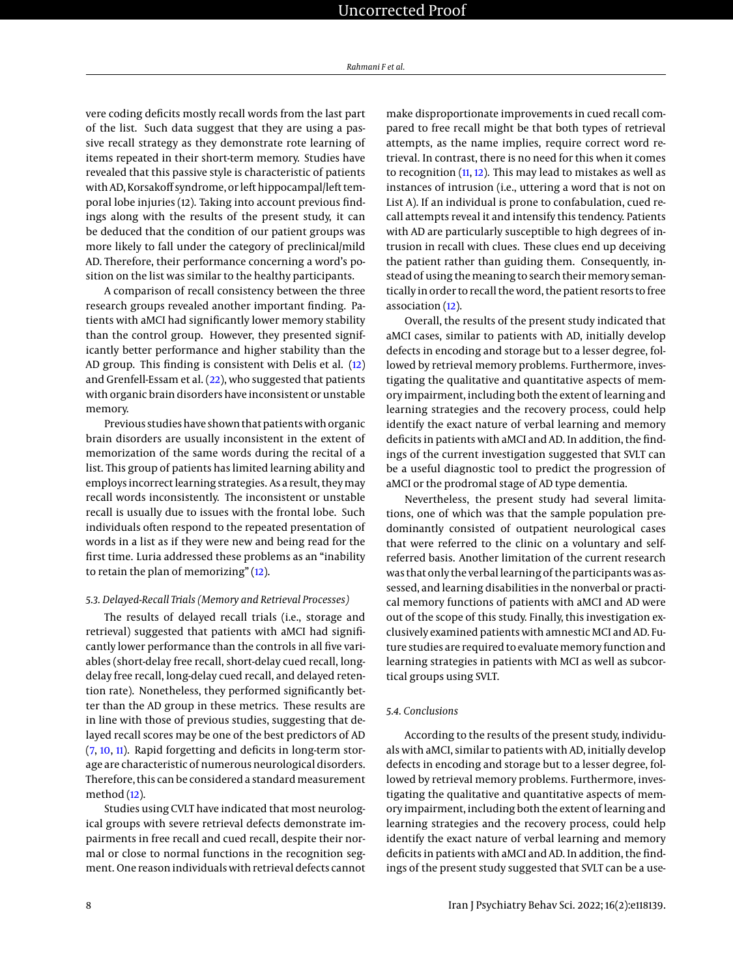vere coding deficits mostly recall words from the last part of the list. Such data suggest that they are using a passive recall strategy as they demonstrate rote learning of items repeated in their short-term memory. Studies have revealed that this passive style is characteristic of patients with AD, Korsakoff syndrome, or left hippocampal/left temporal lobe injuries (12). Taking into account previous findings along with the results of the present study, it can be deduced that the condition of our patient groups was more likely to fall under the category of preclinical/mild AD. Therefore, their performance concerning a word's position on the list was similar to the healthy participants.

A comparison of recall consistency between the three research groups revealed another important finding. Patients with aMCI had significantly lower memory stability than the control group. However, they presented significantly better performance and higher stability than the AD group. This finding is consistent with Delis et al. [\(12\)](#page-8-9) and Grenfell-Essam et al. [\(22\)](#page-8-19), who suggested that patients with organic brain disorders have inconsistent or unstable memory.

Previous studies have shown that patients with organic brain disorders are usually inconsistent in the extent of memorization of the same words during the recital of a list. This group of patients has limited learning ability and employs incorrect learning strategies. As a result, theymay recall words inconsistently. The inconsistent or unstable recall is usually due to issues with the frontal lobe. Such individuals often respond to the repeated presentation of words in a list as if they were new and being read for the first time. Luria addressed these problems as an "inability to retain the plan of memorizing" [\(12\)](#page-8-9).

### *5.3. Delayed-Recall Trials (Memory and Retrieval Processes)*

The results of delayed recall trials (i.e., storage and retrieval) suggested that patients with aMCI had significantly lower performance than the controls in all five variables (short-delay free recall, short-delay cued recall, longdelay free recall, long-delay cued recall, and delayed retention rate). Nonetheless, they performed significantly better than the AD group in these metrics. These results are in line with those of previous studies, suggesting that delayed recall scores may be one of the best predictors of AD [\(7,](#page-8-5) [10,](#page-8-6) [11\)](#page-8-8). Rapid forgetting and deficits in long-term storage are characteristic of numerous neurological disorders. Therefore, this can be considered a standard measurement method  $(12)$ .

Studies using CVLT have indicated that most neurological groups with severe retrieval defects demonstrate impairments in free recall and cued recall, despite their normal or close to normal functions in the recognition segment. One reason individuals with retrieval defects cannot make disproportionate improvements in cued recall compared to free recall might be that both types of retrieval attempts, as the name implies, require correct word retrieval. In contrast, there is no need for this when it comes to recognition  $(11, 12)$  $(11, 12)$  $(11, 12)$ . This may lead to mistakes as well as instances of intrusion (i.e., uttering a word that is not on List A). If an individual is prone to confabulation, cued recall attempts reveal it and intensify this tendency. Patients with AD are particularly susceptible to high degrees of intrusion in recall with clues. These clues end up deceiving the patient rather than guiding them. Consequently, instead of using the meaning to search their memory semantically in order to recall the word, the patient resorts to free association [\(12\)](#page-8-9).

Overall, the results of the present study indicated that aMCI cases, similar to patients with AD, initially develop defects in encoding and storage but to a lesser degree, followed by retrieval memory problems. Furthermore, investigating the qualitative and quantitative aspects of memory impairment, including both the extent of learning and learning strategies and the recovery process, could help identify the exact nature of verbal learning and memory deficits in patients with aMCI and AD. In addition, the findings of the current investigation suggested that SVLT can be a useful diagnostic tool to predict the progression of aMCI or the prodromal stage of AD type dementia.

Nevertheless, the present study had several limitations, one of which was that the sample population predominantly consisted of outpatient neurological cases that were referred to the clinic on a voluntary and selfreferred basis. Another limitation of the current research was that only the verbal learning of the participants was assessed, and learning disabilities in the nonverbal or practical memory functions of patients with aMCI and AD were out of the scope of this study. Finally, this investigation exclusively examined patients with amnestic MCI and AD. Future studies are required to evaluate memory function and learning strategies in patients with MCI as well as subcortical groups using SVLT.

#### *5.4. Conclusions*

According to the results of the present study, individuals with aMCI, similar to patients with AD, initially develop defects in encoding and storage but to a lesser degree, followed by retrieval memory problems. Furthermore, investigating the qualitative and quantitative aspects of memory impairment, including both the extent of learning and learning strategies and the recovery process, could help identify the exact nature of verbal learning and memory deficits in patients with aMCI and AD. In addition, the findings of the present study suggested that SVLT can be a use